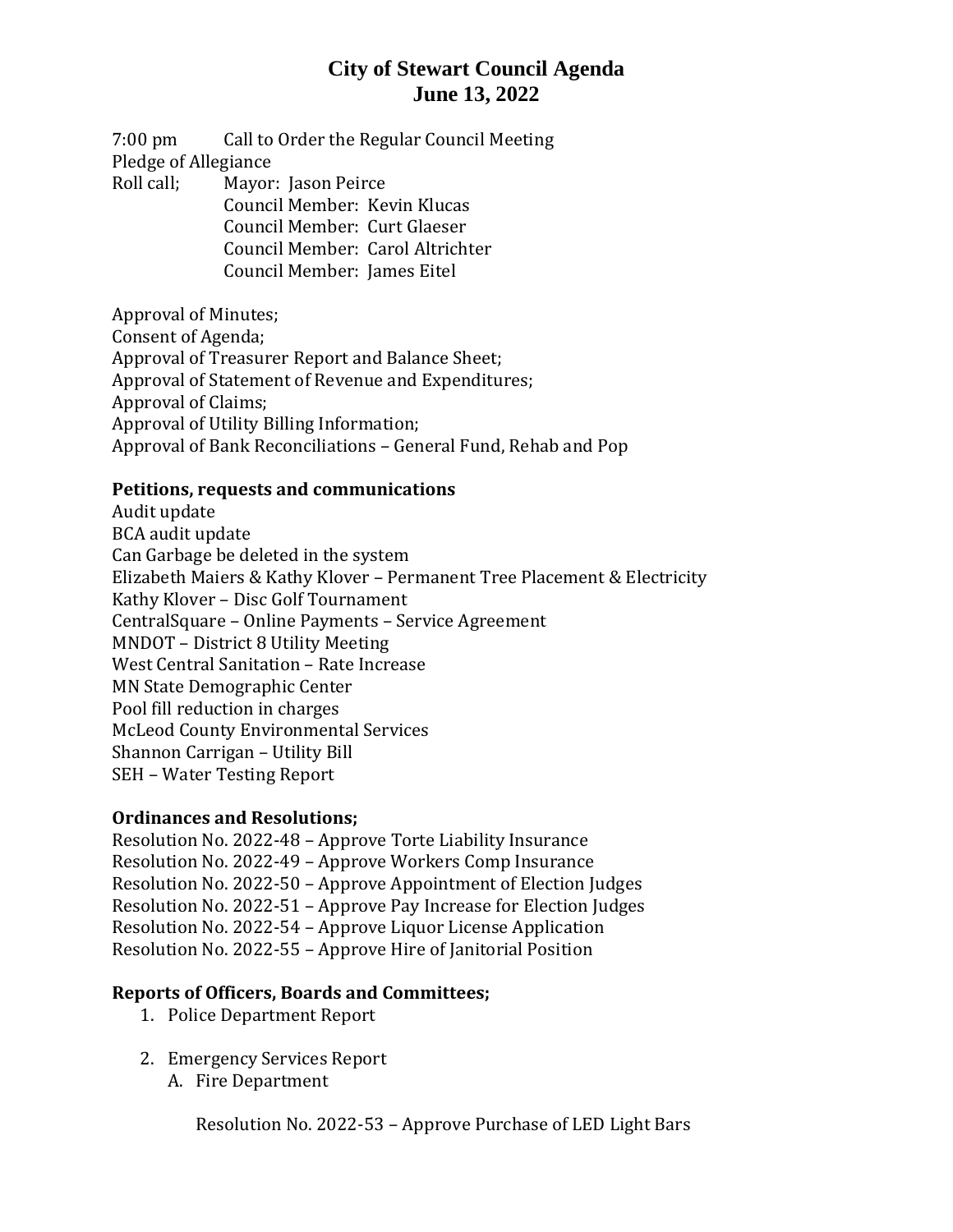# **City of Stewart Council Agenda June 13, 2022**

7:00 pm Call to Order the Regular Council Meeting Pledge of Allegiance Roll call; Mayor: Jason Peirce Council Member: Kevin Klucas

> Council Member: Curt Glaeser Council Member: Carol Altrichter

Council Member: James Eitel

Approval of Minutes; Consent of Agenda; Approval of Treasurer Report and Balance Sheet; Approval of Statement of Revenue and Expenditures; Approval of Claims; Approval of Utility Billing Information; Approval of Bank Reconciliations – General Fund, Rehab and Pop

### **Petitions, requests and communications**

Audit update BCA audit update Can Garbage be deleted in the system Elizabeth Maiers & Kathy Klover – Permanent Tree Placement & Electricity Kathy Klover – Disc Golf Tournament CentralSquare – Online Payments – Service Agreement MNDOT – District 8 Utility Meeting West Central Sanitation – Rate Increase MN State Demographic Center Pool fill reduction in charges McLeod County Environmental Services Shannon Carrigan – Utility Bill SEH – Water Testing Report

#### **Ordinances and Resolutions;**

Resolution No. 2022-48 – Approve Torte Liability Insurance Resolution No. 2022-49 – Approve Workers Comp Insurance Resolution No. 2022-50 – Approve Appointment of Election Judges Resolution No. 2022-51 – Approve Pay Increase for Election Judges Resolution No. 2022-54 – Approve Liquor License Application Resolution No. 2022-55 – Approve Hire of Janitorial Position

### **Reports of Officers, Boards and Committees;**

- 1. Police Department Report
- 2. Emergency Services Report
	- A. Fire Department

Resolution No. 2022-53 – Approve Purchase of LED Light Bars